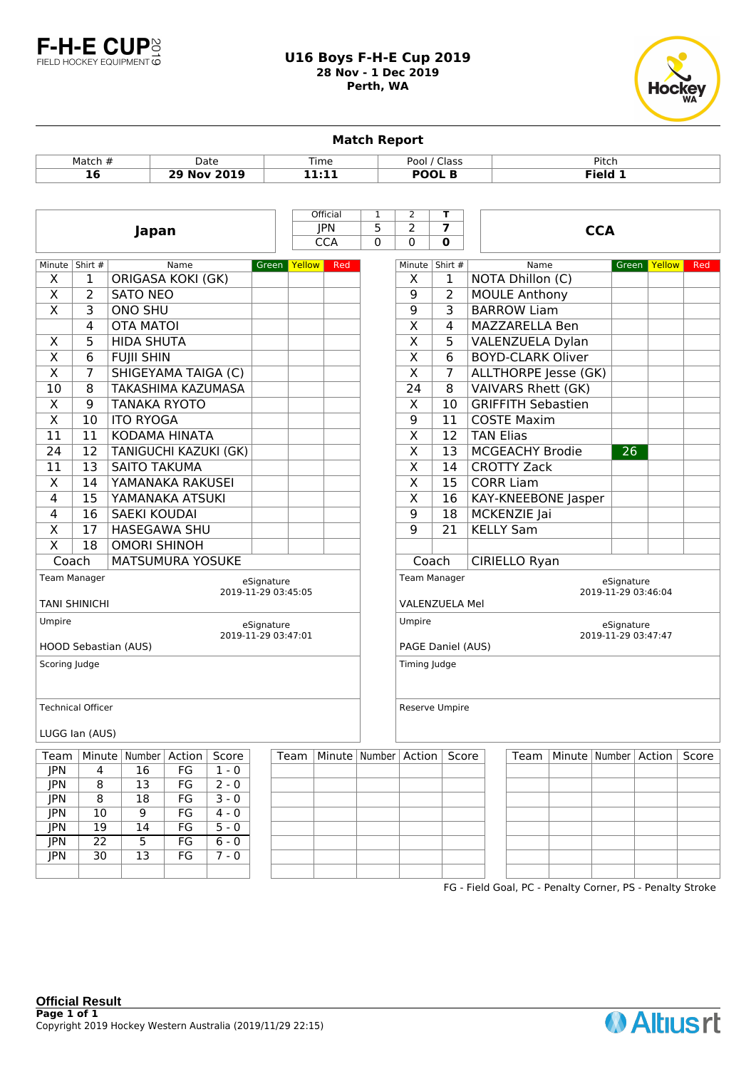

## **U16 Boys F-H-E Cup 2019 28 Nov - 1 Dec 2019 Perth, WA**



**Match Report** Match # Date Time Pool / Class Pitch **16 29 Nov 2019 11:11 POOL B Field 1 Japan CCA** Official 1 2 **T** JPN 5 2 **7** CCA 0 0 **0** Minute Shirt # Name Green Yellow Red  $X \mid 1$  | ORIGASA KOKI (GK)  $X \mid 2$  SATO NEO  $X$  3 ONO SHU 4 | OTA MATOI  $X \mid 5 \mid$ HIDA SHUTA  $X \mid 6$  FUIII SHIN  $X \mid 7$  SHIGEYAMA TAIGA (C) 10 | 8 TAKASHIMA KAZUMASA X 9 TANAKA RYOTO  $X \parallel 10 \parallel$  ITO RYOGA 11 | 11 | KODAMA HINATA 24 | 12 | TANIGUCHI KAZUKI (GK) 11 | 13 | SAITO TAKUMA X | 14 YAMANAKA RAKUSEI 4 | 15 YAMANAKA ATSUKI 4 16 SAEKI KOUDAI X | 17 | HASEGAWA SHU  $X$  | 18 | OMORI SHINOH Coach | MATSUMURA YOSUKE eSignature 2019-11-29 03:45:05 Team Manager TANI SHINICHI eSignature 2019-11-29 03:47:01 Umpire HOOD Sebastian (AUS) Scoring Judge Technical Officer LUGG Ian (AUS) Minute Shirt # Name Green Yellow Red  $X \mid 1 \mid$  NOTA Dhillon (C) 9 2 MOULE Anthony 9 3 BARROW Liam X | 4 | MAZZARELLA Ben X 5 VALENZUELA Dylan X 6 BOYD-CLARK Oliver  $X$  7 ALLTHORPE Jesse (GK)  $24$  | 8 VAIVARS Rhett (GK) X | 10 GRIFFITH Sebastien 9 | 11 | COSTE Maxim  $X$  | 12 | TAN Elias X | 13 | MCGEACHY Brodie 26 X | 14 CROTTY Zack X 15 CORR Liam X | 16 | KAY-KNEEBONE Jasper 9 | 18 | MCKENZIE Jai 9 21 KELLY Sam Coach CIRIELLO Ryan eSignature 2019-11-29 03:46:04 Team Manager VALENZUELA Mel eSignature 2019-11-29 03:47:47 Umpire PAGE Daniel (AUS) Timing Judge Reserve Umpire Team Minute Number Action Score Team Minute Number Action Score Team Minute Number Action Score JPN 4 16 FG 1 - 0 JPN 8 13 FG 2 - 0 JPN 8 18 FG 3 - 0 JPN 10 9 FG 4 - 0 JPN 19 14 FG 5 - 0  $IPN$  22 5 FG 6 - 0

FG - Field Goal, PC - Penalty Corner, PS - Penalty Stroke

JPN 30 13 FG 7 - 0